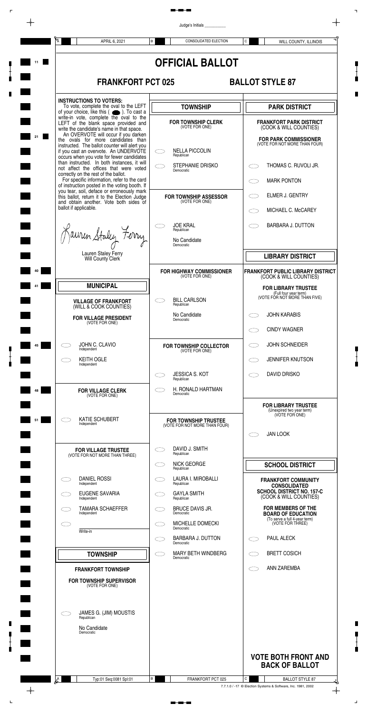Judge's Initials \_\_\_\_\_\_\_\_\_\_

♦

| Write-in                                                                  |   | pomonauo                         |   |                                                     |
|---------------------------------------------------------------------------|---|----------------------------------|---|-----------------------------------------------------|
|                                                                           |   | BARBARA J. DUTTON<br>Democratic  |   | <b>PAUL ALECK</b>                                   |
| <b>TOWNSHIP</b>                                                           |   | MARY BETH WINDBERG<br>Democratic |   | <b>BRETT COSICH</b>                                 |
| <b>FRANKFORT TOWNSHIP</b>                                                 |   |                                  |   | ANN ZAREMBA                                         |
| <b>FOR TOWNSHIP SUPERVISOR</b><br>(VOTE FOR ONE)                          |   |                                  |   |                                                     |
| <b>JAMES G. (JIM) MOUSTIS</b><br>Republican<br>No Candidate<br>Democratic |   |                                  |   |                                                     |
|                                                                           |   |                                  |   | <b>VOTE BOTH FRONT AND</b><br><b>BACK OF BALLOT</b> |
| Typ:01 Seq:0081 Spl:01                                                    | B | FRANKFORT PCT 025                | C | <b>BALLOT STYLE 87</b>                              |



7.7.1.0 / -17 © Election Systems & Software, Inc. 1981, 2002